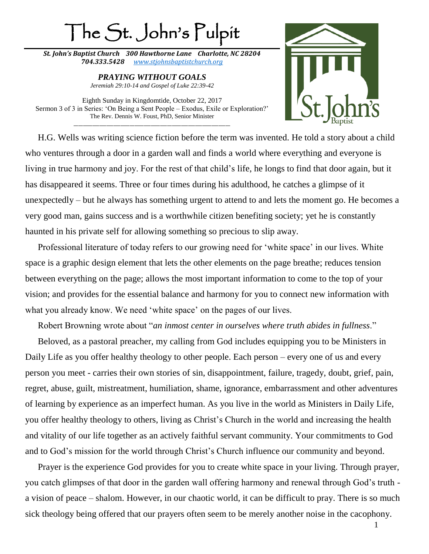## The St. John's Pulpit

*St. John's Baptist Church 300 Hawthorne Lane Charlotte, NC 28204 704.333.5428 [www.stjohnsbaptistchurch.org](http://www.stjohnsbaptistchurch.org/)*

> *PRAYING WITHOUT GOALS Jeremiah 29:10-14 and Gospel of Luke 22:39-42*

Eighth Sunday in Kingdomtide, October 22, 2017 Sermon 3 of 3 in Series: 'On Being a Sent People – Exodus, Exile or Exploration?' The Rev. Dennis W. Foust, PhD, Senior Minister

\_\_\_\_\_\_\_\_\_\_\_\_\_\_\_\_\_\_\_\_\_\_\_\_\_\_\_\_\_\_\_\_\_\_\_\_\_\_\_\_\_\_\_\_\_\_\_\_\_\_\_\_\_\_\_\_\_\_\_\_\_\_\_\_\_\_\_



H.G. Wells was writing science fiction before the term was invented. He told a story about a child who ventures through a door in a garden wall and finds a world where everything and everyone is living in true harmony and joy. For the rest of that child's life, he longs to find that door again, but it has disappeared it seems. Three or four times during his adulthood, he catches a glimpse of it unexpectedly – but he always has something urgent to attend to and lets the moment go. He becomes a very good man, gains success and is a worthwhile citizen benefiting society; yet he is constantly haunted in his private self for allowing something so precious to slip away.

Professional literature of today refers to our growing need for 'white space' in our lives. White space is a graphic design element that lets the other elements on the page breathe; reduces tension between everything on the page; allows the most important information to come to the top of your vision; and provides for the essential balance and harmony for you to connect new information with what you already know. We need 'white space' on the pages of our lives.

Robert Browning wrote about "*an inmost center in ourselves where truth abides in fullness*."

Beloved, as a pastoral preacher, my calling from God includes equipping you to be Ministers in Daily Life as you offer healthy theology to other people. Each person – every one of us and every person you meet - carries their own stories of sin, disappointment, failure, tragedy, doubt, grief, pain, regret, abuse, guilt, mistreatment, humiliation, shame, ignorance, embarrassment and other adventures of learning by experience as an imperfect human. As you live in the world as Ministers in Daily Life, you offer healthy theology to others, living as Christ's Church in the world and increasing the health and vitality of our life together as an actively faithful servant community. Your commitments to God and to God's mission for the world through Christ's Church influence our community and beyond.

Prayer is the experience God provides for you to create white space in your living. Through prayer, you catch glimpses of that door in the garden wall offering harmony and renewal through God's truth a vision of peace – shalom. However, in our chaotic world, it can be difficult to pray. There is so much sick theology being offered that our prayers often seem to be merely another noise in the cacophony.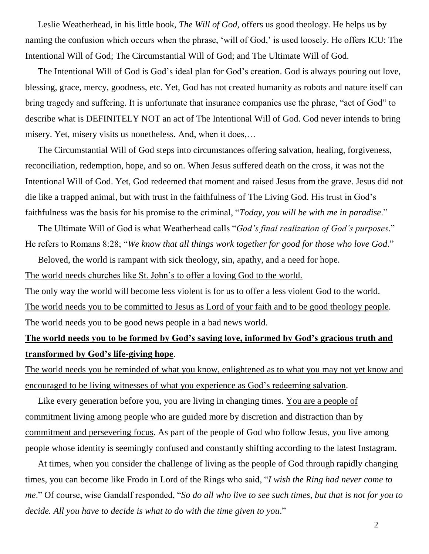Leslie Weatherhead, in his little book, *The Will of God*, offers us good theology. He helps us by naming the confusion which occurs when the phrase, 'will of God,' is used loosely. He offers ICU: The Intentional Will of God; The Circumstantial Will of God; and The Ultimate Will of God.

The Intentional Will of God is God's ideal plan for God's creation. God is always pouring out love, blessing, grace, mercy, goodness, etc. Yet, God has not created humanity as robots and nature itself can bring tragedy and suffering. It is unfortunate that insurance companies use the phrase, "act of God" to describe what is DEFINITELY NOT an act of The Intentional Will of God. God never intends to bring misery. Yet, misery visits us nonetheless. And, when it does,…

The Circumstantial Will of God steps into circumstances offering salvation, healing, forgiveness, reconciliation, redemption, hope, and so on. When Jesus suffered death on the cross, it was not the Intentional Will of God. Yet, God redeemed that moment and raised Jesus from the grave. Jesus did not die like a trapped animal, but with trust in the faithfulness of The Living God. His trust in God's faithfulness was the basis for his promise to the criminal, "*Today, you will be with me in paradise*."

The Ultimate Will of God is what Weatherhead calls "*God's final realization of God's purposes*." He refers to Romans 8:28; "*We know that all things work together for good for those who love God*."

Beloved, the world is rampant with sick theology, sin, apathy, and a need for hope. The world needs churches like St. John's to offer a loving God to the world. The only way the world will become less violent is for us to offer a less violent God to the world. The world needs you to be committed to Jesus as Lord of your faith and to be good theology people. The world needs you to be good news people in a bad news world.

## **The world needs you to be formed by God's saving love, informed by God's gracious truth and transformed by God's life-giving hope**.

The world needs you be reminded of what you know, enlightened as to what you may not yet know and encouraged to be living witnesses of what you experience as God's redeeming salvation.

Like every generation before you, you are living in changing times. You are a people of commitment living among people who are guided more by discretion and distraction than by commitment and persevering focus. As part of the people of God who follow Jesus, you live among people whose identity is seemingly confused and constantly shifting according to the latest Instagram.

At times, when you consider the challenge of living as the people of God through rapidly changing times, you can become like Frodo in Lord of the Rings who said, "*I wish the Ring had never come to me*." Of course, wise Gandalf responded, "*So do all who live to see such times, but that is not for you to decide. All you have to decide is what to do with the time given to you*."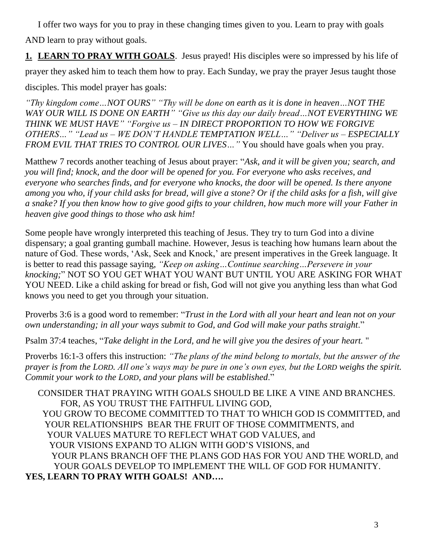I offer two ways for you to pray in these changing times given to you. Learn to pray with goals AND learn to pray without goals.

**1. LEARN TO PRAY WITH GOALS**. Jesus prayed! His disciples were so impressed by his life of

prayer they asked him to teach them how to pray. Each Sunday, we pray the prayer Jesus taught those

disciples. This model prayer has goals:

*"Thy kingdom come…NOT OURS" "Thy will be done on earth as it is done in heaven…NOT THE WAY OUR WILL IS DONE ON EARTH" "Give us this day our daily bread…NOT EVERYTHING WE THINK WE MUST HAVE" "Forgive us – IN DIRECT PROPORTION TO HOW WE FORGIVE OTHERS…" "Lead us – WE DON'T HANDLE TEMPTATION WELL…" "Deliver us – ESPECIALLY FROM EVIL THAT TRIES TO CONTROL OUR LIVES…"* You should have goals when you pray.

Matthew 7 records another teaching of Jesus about prayer: "*Ask, and it will be given you; search, and you will find; knock, and the door will be opened for you. For everyone who asks receives, and everyone who searches finds, and for everyone who knocks, the door will be opened. Is there anyone among you who, if your child asks for bread, will give a stone? Or if the child asks for a fish, will give a snake? If you then know how to give good gifts to your children, how much more will your Father in heaven give good things to those who ask him!*

Some people have wrongly interpreted this teaching of Jesus. They try to turn God into a divine dispensary; a goal granting gumball machine. However, Jesus is teaching how humans learn about the nature of God. These words, 'Ask, Seek and Knock,' are present imperatives in the Greek language. It is better to read this passage saying, *"Keep on asking…Continue searching…Persevere in your knocking;*" NOT SO YOU GET WHAT YOU WANT BUT UNTIL YOU ARE ASKING FOR WHAT YOU NEED. Like a child asking for bread or fish, God will not give you anything less than what God knows you need to get you through your situation.

Proverbs 3:6 is a good word to remember: "*Trust in the Lord with all your heart and lean not on your own understanding; in all your ways submit to God, and God will make your paths straight*."

Psalm 37:4 teaches, "*Take delight in the Lord, and he will give you the desires of your heart.* "

Proverbs 16:1-3 offers this instruction: *"The plans of the mind belong to mortals, but the answer of the prayer is from the LORD. All one's ways may be pure in one's own eyes, but the LORD weighs the spirit. Commit your work to the LORD, and your plans will be established*."

CONSIDER THAT PRAYING WITH GOALS SHOULD BE LIKE A VINE AND BRANCHES. FOR, AS YOU TRUST THE FAITHFUL LIVING GOD, YOU GROW TO BECOME COMMITTED TO THAT TO WHICH GOD IS COMMITTED, and YOUR RELATIONSHIPS BEAR THE FRUIT OF THOSE COMMITMENTS, and YOUR VALUES MATURE TO REFLECT WHAT GOD VALUES, and YOUR VISIONS EXPAND TO ALIGN WITH GOD'S VISIONS, and YOUR PLANS BRANCH OFF THE PLANS GOD HAS FOR YOU AND THE WORLD, and YOUR GOALS DEVELOP TO IMPLEMENT THE WILL OF GOD FOR HUMANITY. **YES, LEARN TO PRAY WITH GOALS! AND….**